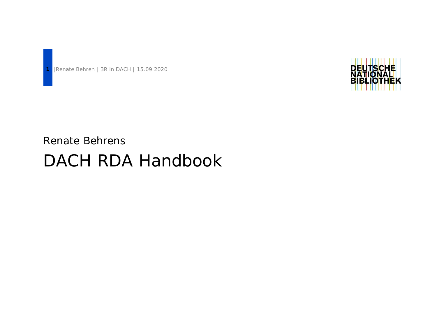

Renate Behrens

# DACH RDA Handbook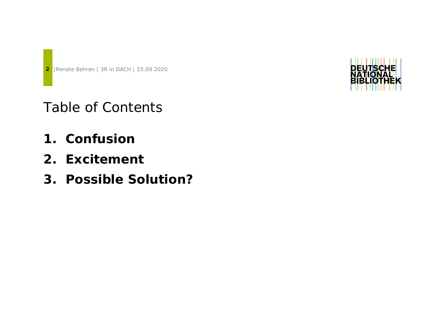Table of Contents

- **1. Confusion**
- **2. Excitement**
- **3. Possible Solution?**

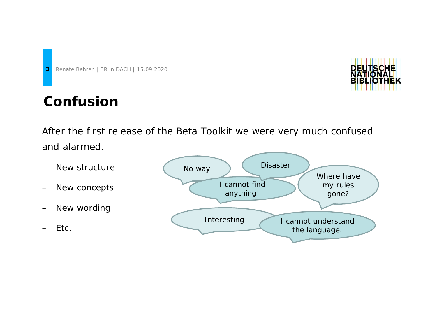## **Confusion**

DEU

After the first release of the Beta Toolkit we were very much confused and alarmed.

- New structure
- New concepts
- New wording

– Etc.

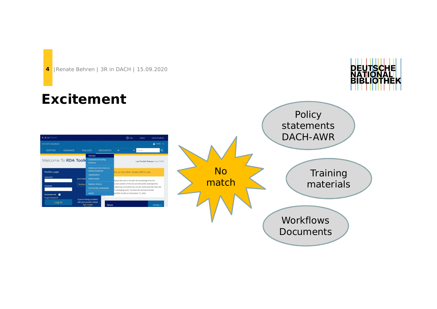## **Excitement**



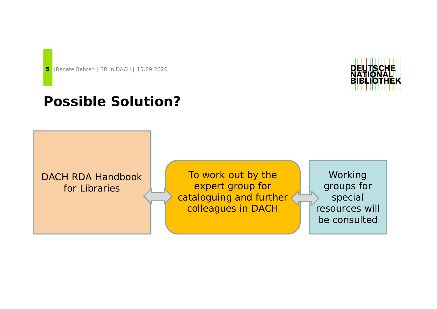### **Possible Solution?**

DACH RDA Handbook for Libraries

To work out by the expert group for cataloguing and further colleagues in DACH

Working groups for special resources will be consulted

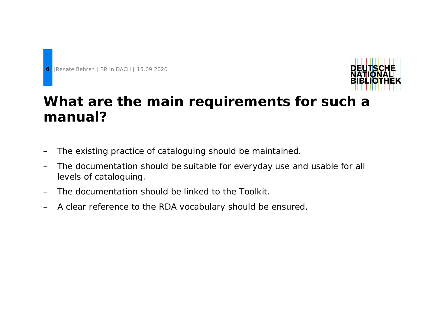



## **What are the main requirements for such a manual?**

- The existing practice of cataloguing should be maintained.
- The documentation should be suitable for everyday use and usable for all levels of cataloguing.
- The documentation should be linked to the Toolkit.
- A clear reference to the RDA vocabulary should be ensured.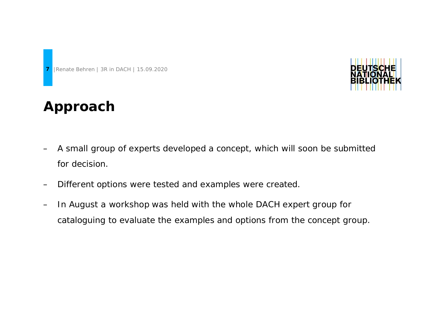

#### **Approach**

- A small group of experts developed a concept, which will soon be submitted for decision.
- Different options were tested and examples were created.
- In August a workshop was held with the whole DACH expert group for cataloguing to evaluate the examples and options from the concept group.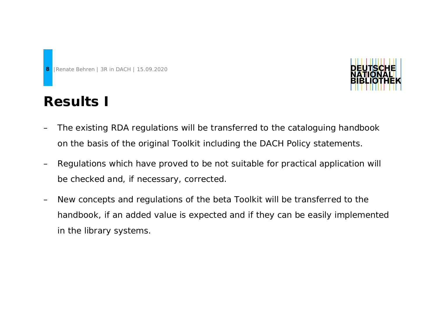



- The existing RDA regulations will be transferred to the cataloguing handbook on the basis of the original Toolkit including the DACH Policy statements.
- Regulations which have proved to be not suitable for practical application will be checked and, if necessary, corrected.
- New concepts and regulations of the beta Toolkit will be transferred to the handbook, if an added value is expected and if they can be easily implemented in the library systems.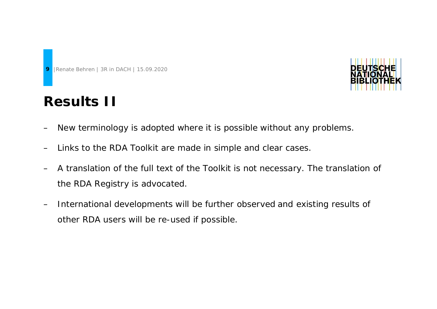# **Results II**



- New terminology is adopted where it is possible without any problems.
- Links to the RDA Toolkit are made in simple and clear cases.
- A translation of the full text of the Toolkit is not necessary. The translation of the RDA Registry is advocated.
- International developments will be further observed and existing results of other RDA users will be re-used if possible.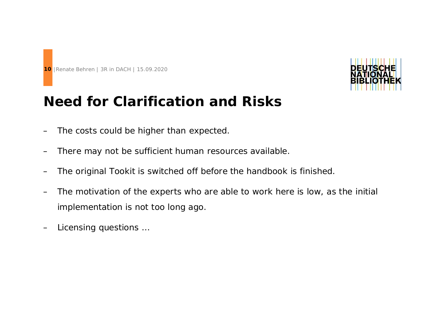



#### **Need for Clarification and Risks**

- The costs could be higher than expected.
- There may not be sufficient human resources available.
- The original Tookit is switched off before the handbook is finished.
- The motivation of the experts who are able to work here is low, as the initial implementation is not too long ago.
- Licensing questions …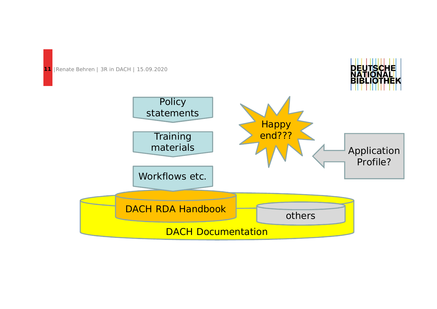